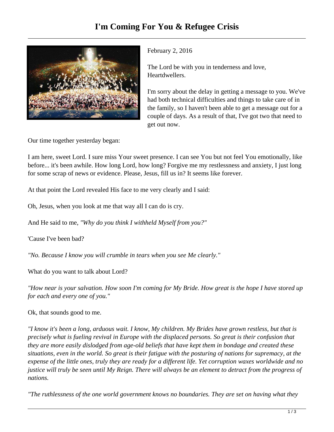

February 2, 2016

The Lord be with you in tenderness and love, Heartdwellers.

I'm sorry about the delay in getting a message to you. We've had both technical difficulties and things to take care of in the family, so I haven't been able to get a message out for a couple of days. As a result of that, I've got two that need to get out now.

Our time together yesterday began:

I am here, sweet Lord. I sure miss Your sweet presence. I can see You but not feel You emotionally, like before... it's been awhile. How long Lord, how long? Forgive me my restlessness and anxiety, I just long for some scrap of news or evidence. Please, Jesus, fill us in? It seems like forever.

At that point the Lord revealed His face to me very clearly and I said:

Oh, Jesus, when you look at me that way all I can do is cry.

And He said to me, *"Why do you think I withheld Myself from you?"*

'Cause I've been bad?

*"No. Because I know you will crumble in tears when you see Me clearly."* 

What do you want to talk about Lord?

*"How near is your salvation. How soon I'm coming for My Bride. How great is the hope I have stored up for each and every one of you."*

Ok, that sounds good to me.

*"I know it's been a long, arduous wait. I know, My children. My Brides have grown restless, but that is precisely what is fueling revival in Europe with the displaced persons. So great is their confusion that they are more easily dislodged from age-old beliefs that have kept them in bondage and created these situations, even in the world. So great is their fatigue with the posturing of nations for supremacy, at the expense of the little ones, truly they are ready for a different life. Yet corruption waxes worldwide and no justice will truly be seen until My Reign. There will always be an element to detract from the progress of nations.* 

*"The ruthlessness of the one world government knows no boundaries. They are set on having what they*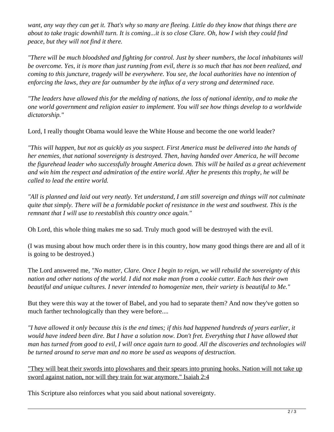*want, any way they can get it. That's why so many are fleeing. Little do they know that things there are about to take tragic downhill turn. It is coming...it is so close Clare. Oh, how I wish they could find peace, but they will not find it there.* 

*"There will be much bloodshed and fighting for control. Just by sheer numbers, the local inhabitants will be overcome. Yes, it is more than just running from evil, there is so much that has not been realized, and coming to this juncture, tragedy will be everywhere. You see, the local authorities have no intention of enforcing the laws, they are far outnumber by the influx of a very strong and determined race.* 

*"The leaders have allowed this for the melding of nations, the loss of national identity, and to make the one world government and religion easier to implement. You will see how things develop to a worldwide dictatorship."*

Lord, I really thought Obama would leave the White House and become the one world leader?

*"This will happen, but not as quickly as you suspect. First America must be delivered into the hands of her enemies, that national sovereignty is destroyed. Then, having handed over America, he will become the figurehead leader who successfully brought America down. This will be hailed as a great achievement and win him the respect and admiration of the entire world. After he presents this trophy, he will be called to lead the entire world.*

*"All is planned and laid out very neatly. Yet understand, I am still sovereign and things will not culminate quite that simply. There will be a formidable pocket of resistance in the west and southwest. This is the remnant that I will use to reestablish this country once again."*

Oh Lord, this whole thing makes me so sad. Truly much good will be destroyed with the evil.

(I was musing about how much order there is in this country, how many good things there are and all of it is going to be destroyed.)

The Lord answered me, *"No matter, Clare. Once I begin to reign, we will rebuild the sovereignty of this nation and other nations of the world. I did not make man from a cookie cutter. Each has their own beautiful and unique cultures. I never intended to homogenize men, their variety is beautiful to Me."*

But they were this way at the tower of Babel, and you had to separate them? And now they've gotten so much farther technologically than they were before....

*"I have allowed it only because this is the end times; if this had happened hundreds of years earlier, it would have indeed been dire. But I have a solution now. Don't fret. Everything that I have allowed that man has turned from good to evil, I will once again turn to good. All the discoveries and technologies will be turned around to serve man and no more be used as weapons of destruction.* 

"They will beat their swords into plowshares and their spears into pruning hooks. Nation will not take up sword against nation, nor will they train for war anymore." Isaiah 2:4

This Scripture also reinforces what you said about national sovereignty.